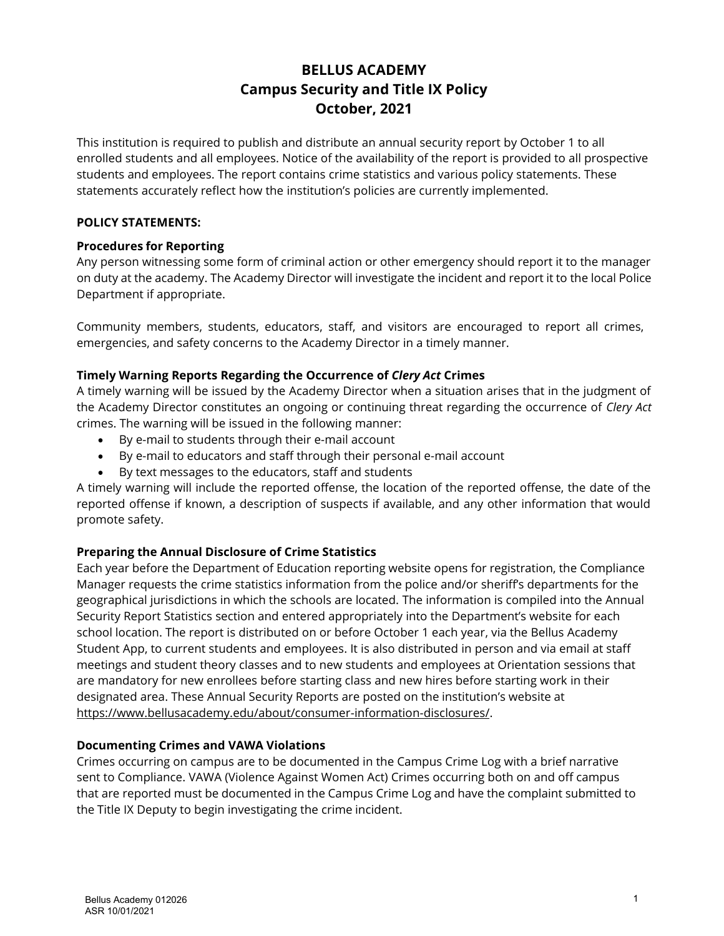# **BELLUS ACADEMY Campus Security and Title IX Policy October, 2021**

This institution is required to publish and distribute an annual security report by October 1 to all enrolled students and all employees. Notice of the availability of the report is provided to all prospective students and employees. The report contains crime statistics and various policy statements. These statements accurately reflect how the institution's policies are currently implemented.

### **POLICY STATEMENTS:**

### **Procedures for Reporting**

Any person witnessing some form of criminal action or other emergency should report it to the manager on duty at the academy. The Academy Director will investigate the incident and report it to the local Police Department if appropriate.

Community members, students, educators, staff, and visitors are encouraged to report all crimes, emergencies, and safety concerns to the Academy Director in a timely manner.

### **Timely Warning Reports Regarding the Occurrence of** *Clery Act* **Crimes**

A timely warning will be issued by the Academy Director when a situation arises that in the judgment of the Academy Director constitutes an ongoing or continuing threat regarding the occurrence of *Clery Act* crimes. The warning will be issued in the following manner:

- By e-mail to students through their e-mail account
- By e-mail to educators and staff through their personal e-mail account
- By text messages to the educators, staff and students

A timely warning will include the reported offense, the location of the reported offense, the date of the reported offense if known, a description of suspects if available, and any other information that would promote safety.

# **Preparing the Annual Disclosure of Crime Statistics**

Each year before the Department of Education reporting website opens for registration, the Compliance Manager requests the crime statistics information from the police and/or sheriff's departments for the geographical jurisdictions in which the schools are located. The information is compiled into the Annual Security Report Statistics section and entered appropriately into the Department's website for each school location. The report is distributed on or before October 1 each year, via the Bellus Academy Student App, to current students and employees. It is also distributed in person and via email at staff meetings and student theory classes and to new students and employees at Orientation sessions that are mandatory for new enrollees before starting class and new hires before starting work in their designated area. These Annual Security Reports are posted on the institution's website at [https://www.bellusacademy.edu/about/consumer-information-disclosures/.](https://www.bellusacademy.edu/about/consumer-information-disclosures/)

#### **Documenting Crimes and VAWA Violations**

Crimes occurring on campus are to be documented in the Campus Crime Log with a brief narrative sent to Compliance. VAWA (Violence Against Women Act) Crimes occurring both on and off campus that are reported must be documented in the Campus Crime Log and have the complaint submitted to the Title IX Deputy to begin investigating the crime incident.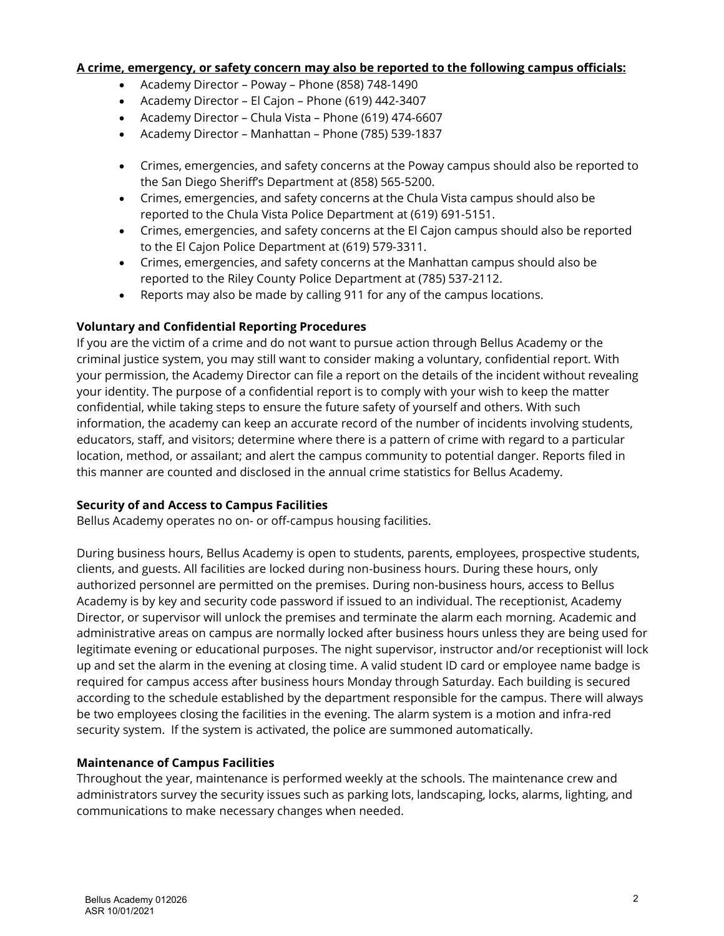#### **A crime, emergency, or safety concern may also be reported to the following campus officials:**

- Academy Director Poway Phone (858) 748-1490
- Academy Director El Cajon Phone (619) 442-3407
- Academy Director Chula Vista Phone (619) 474-6607
- Academy Director Manhattan Phone (785) 539-1837
- Crimes, emergencies, and safety concerns at the Poway campus should also be reported to the San Diego Sheriff's Department at (858) 565-5200.
- Crimes, emergencies, and safety concerns at the Chula Vista campus should also be reported to the Chula Vista Police Department at (619) 691-5151.
- Crimes, emergencies, and safety concerns at the El Cajon campus should also be reported to the El Cajon Police Department at (619) 579-3311.
- Crimes, emergencies, and safety concerns at the Manhattan campus should also be reported to the Riley County Police Department at (785) 537-2112.
- Reports may also be made by calling 911 for any of the campus locations.

### **Voluntary and Confidential Reporting Procedures**

If you are the victim of a crime and do not want to pursue action through Bellus Academy or the criminal justice system, you may still want to consider making a voluntary, confidential report. With your permission, the Academy Director can file a report on the details of the incident without revealing your identity. The purpose of a confidential report is to comply with your wish to keep the matter confidential, while taking steps to ensure the future safety of yourself and others. With such information, the academy can keep an accurate record of the number of incidents involving students, educators, staff, and visitors; determine where there is a pattern of crime with regard to a particular location, method, or assailant; and alert the campus community to potential danger. Reports filed in this manner are counted and disclosed in the annual crime statistics for Bellus Academy.

#### **Security of and Access to Campus Facilities**

Bellus Academy operates no on- or off-campus housing facilities.

During business hours, Bellus Academy is open to students, parents, employees, prospective students, clients, and guests. All facilities are locked during non-business hours. During these hours, only authorized personnel are permitted on the premises. During non-business hours, access to Bellus Academy is by key and security code password if issued to an individual. The receptionist, Academy Director, or supervisor will unlock the premises and terminate the alarm each morning. Academic and administrative areas on campus are normally locked after business hours unless they are being used for legitimate evening or educational purposes. The night supervisor, instructor and/or receptionist will lock up and set the alarm in the evening at closing time. A valid student ID card or employee name badge is required for campus access after business hours Monday through Saturday. Each building is secured according to the schedule established by the department responsible for the campus. There will always be two employees closing the facilities in the evening. The alarm system is a motion and infra-red security system. If the system is activated, the police are summoned automatically.

#### **Maintenance of Campus Facilities**

Throughout the year, maintenance is performed weekly at the schools. The maintenance crew and administrators survey the security issues such as parking lots, landscaping, locks, alarms, lighting, and communications to make necessary changes when needed.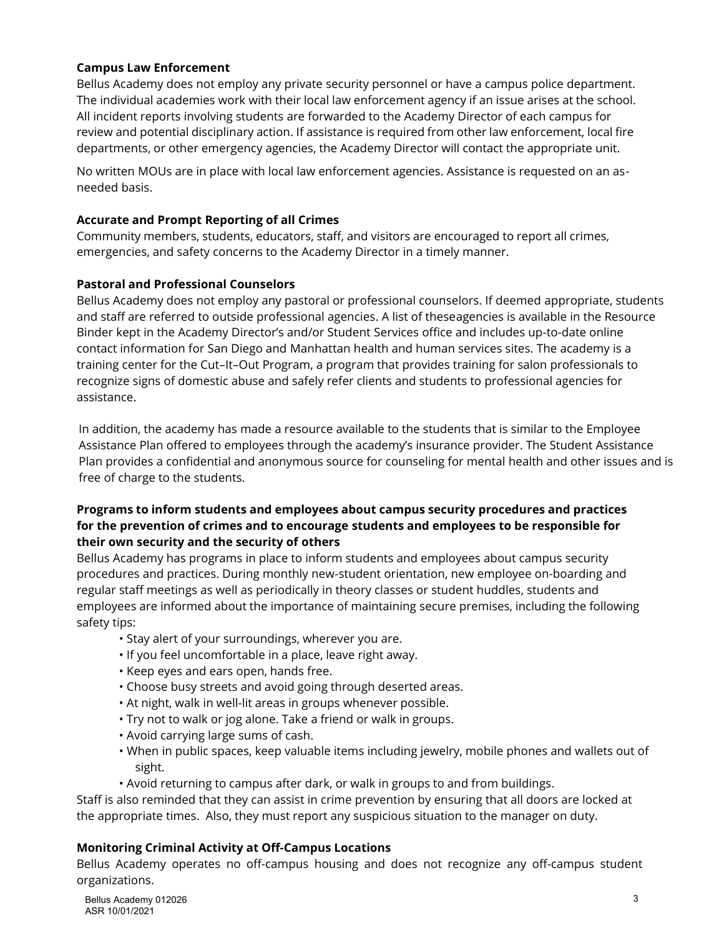### **Campus Law Enforcement**

Bellus Academy does not employ any private security personnel or have a campus police department. The individual academies work with their local law enforcement agency if an issue arises at the school. All incident reports involving students are forwarded to the Academy Director of each campus for review and potential disciplinary action. If assistance is required from other law enforcement, local fire departments, or other emergency agencies, the Academy Director will contact the appropriate unit.

No written MOUs are in place with local law enforcement agencies. Assistance is requested on an asneeded basis.

#### **Accurate and Prompt Reporting of all Crimes**

Community members, students, educators, staff, and visitors are encouraged to report all crimes, emergencies, and safety concerns to the Academy Director in a timely manner.

### **Pastoral and Professional Counselors**

Bellus Academy does not employ any pastoral or professional counselors. If deemed appropriate, students and staff are referred to outside professional agencies. A list of theseagencies is available in the Resource Binder kept in the Academy Director's and/or Student Services office and includes up-to-date online contact information for San Diego and Manhattan health and human services sites. The academy is a training center for the Cut–It–Out Program, a program that provides training for salon professionals to recognize signs of domestic abuse and safely refer clients and students to professional agencies for assistance.

In addition, the academy has made a resource available to the students that is similar to the Employee Assistance Plan offered to employees through the academy's insurance provider. The Student Assistance Plan provides a confidential and anonymous source for counseling for mental health and other issues and is free of charge to the students.

# **Programs to inform students and employees about campus security procedures and practices for the prevention of crimes and to encourage students and employees to be responsible for their own security and the security of others**

Bellus Academy has programs in place to inform students and employees about campus security procedures and practices. During monthly new-student orientation, new employee on-boarding and regular staff meetings as well as periodically in theory classes or student huddles, students and employees are informed about the importance of maintaining secure premises, including the following safety tips:

- Stay alert of your surroundings, wherever you are.
- If you feel uncomfortable in a place, leave right away.
- Keep eyes and ears open, hands free.
- Choose busy streets and avoid going through deserted areas.
- At night, walk in well-lit areas in groups whenever possible.
- Try not to walk or jog alone. Take a friend or walk in groups.
- Avoid carrying large sums of cash.
- When in public spaces, keep valuable items including jewelry, mobile phones and wallets out of sight.
- Avoid returning to campus after dark, or walk in groups to and from buildings.

Staff is also reminded that they can assist in crime prevention by ensuring that all doors are locked at the appropriate times. Also, they must report any suspicious situation to the manager on duty.

# **Monitoring Criminal Activity at Off-Campus Locations**

Bellus Academy operates no off-campus housing and does not recognize any off-campus student organizations.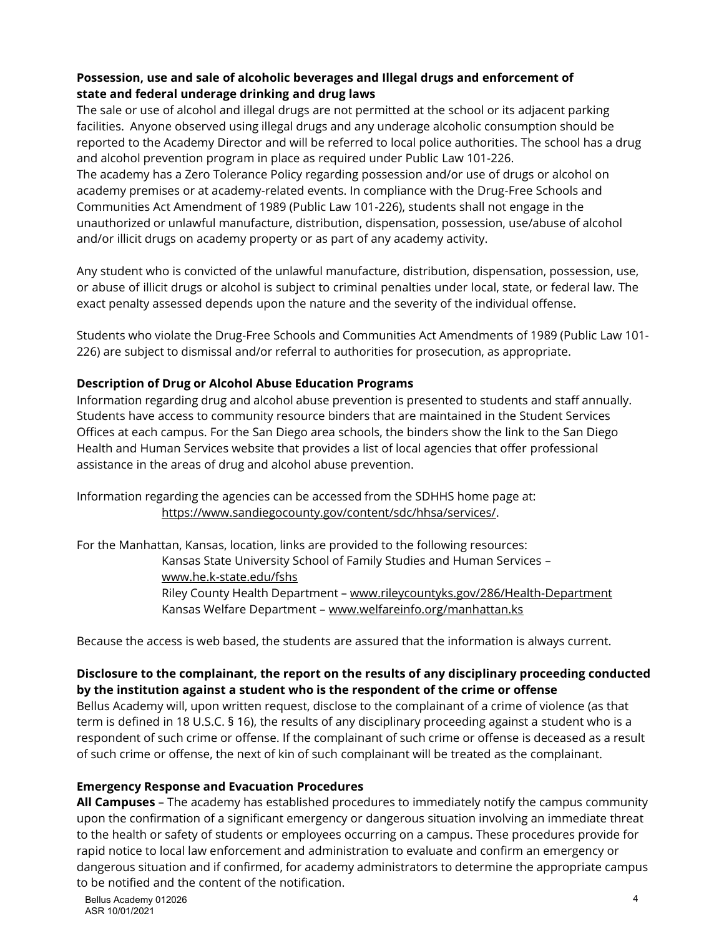# **Possession, use and sale of alcoholic beverages and Illegal drugs and enforcement of state and federal underage drinking and drug laws**

The sale or use of alcohol and illegal drugs are not permitted at the school or its adjacent parking facilities. Anyone observed using illegal drugs and any underage alcoholic consumption should be reported to the Academy Director and will be referred to local police authorities. The school has a drug and alcohol prevention program in place as required under Public Law 101-226. The academy has a Zero Tolerance Policy regarding possession and/or use of drugs or alcohol on academy premises or at academy-related events. In compliance with the Drug-Free Schools and

Communities Act Amendment of 1989 (Public Law 101-226), students shall not engage in the unauthorized or unlawful manufacture, distribution, dispensation, possession, use/abuse of alcohol and/or illicit drugs on academy property or as part of any academy activity.

Any student who is convicted of the unlawful manufacture, distribution, dispensation, possession, use, or abuse of illicit drugs or alcohol is subject to criminal penalties under local, state, or federal law. The exact penalty assessed depends upon the nature and the severity of the individual offense.

Students who violate the Drug-Free Schools and Communities Act Amendments of 1989 (Public Law 101- 226) are subject to dismissal and/or referral to authorities for prosecution, as appropriate.

# **Description of Drug or Alcohol Abuse Education Programs**

Information regarding drug and alcohol abuse prevention is presented to students and staff annually. Students have access to community resource binders that are maintained in the Student Services Offices at each campus. For the San Diego area schools, the binders show the link to the San Diego Health and Human Services website that provides a list of local agencies that offer professional assistance in the areas of drug and alcohol abuse prevention.

Information regarding the agencies can be accessed from the SDHHS home page at: [https://www.sandiegocounty.gov/content/sdc/hhsa/services/.](https://www.sandiegocounty.gov/content/sdc/hhsa/services/)

For the Manhattan, Kansas, location, links are provided to the following resources: Kansas State University School of Family Studies and Human Services – [www.he.k-state.edu/fshs](http://www.he.k-state.edu/fshs) Riley County Health Department – [www.rileycountyks.gov/286/Health-Department](http://www.rileycountyks.gov/286/Health-Department) Kansas Welfare Department – [www.welfareinfo.org/manhattan.ks](http://www.welfareinfo.org/manhattan.ks)

Because the access is web based, the students are assured that the information is always current.

# **Disclosure to the complainant, the report on the results of any disciplinary proceeding conducted by the institution against a student who is the respondent of the crime or offense**

Bellus Academy will, upon written request, disclose to the complainant of a crime of violence (as that term is defined in 18 U.S.C. § 16), the results of any disciplinary proceeding against a student who is a respondent of such crime or offense. If the complainant of such crime or offense is deceased as a result of such crime or offense, the next of kin of such complainant will be treated as the complainant.

# **Emergency Response and Evacuation Procedures**

**All Campuses** – The academy has established procedures to immediately notify the campus community upon the confirmation of a significant emergency or dangerous situation involving an immediate threat to the health or safety of students or employees occurring on a campus. These procedures provide for rapid notice to local law enforcement and administration to evaluate and confirm an emergency or dangerous situation and if confirmed, for academy administrators to determine the appropriate campus to be notified and the content of the notification.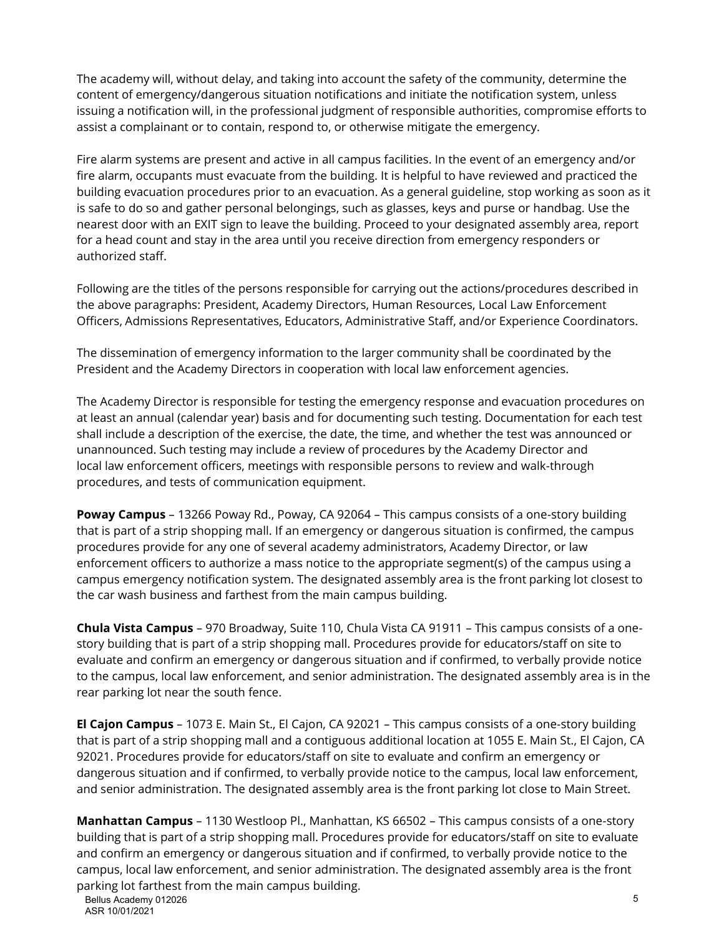The academy will, without delay, and taking into account the safety of the community, determine the content of emergency/dangerous situation notifications and initiate the notification system, unless issuing a notification will, in the professional judgment of responsible authorities, compromise efforts to assist a complainant or to contain, respond to, or otherwise mitigate the emergency.

Fire alarm systems are present and active in all campus facilities. In the event of an emergency and/or fire alarm, occupants must evacuate from the building. It is helpful to have reviewed and practiced the building evacuation procedures prior to an evacuation. As a general guideline, stop working as soon as it is safe to do so and gather personal belongings, such as glasses, keys and purse or handbag. Use the nearest door with an EXIT sign to leave the building. Proceed to your designated assembly area, report for a head count and stay in the area until you receive direction from emergency responders or authorized staff.

Following are the titles of the persons responsible for carrying out the actions/procedures described in the above paragraphs: President, Academy Directors, Human Resources, Local Law Enforcement Officers, Admissions Representatives, Educators, Administrative Staff, and/or Experience Coordinators.

The dissemination of emergency information to the larger community shall be coordinated by the President and the Academy Directors in cooperation with local law enforcement agencies.

The Academy Director is responsible for testing the emergency response and evacuation procedures on at least an annual (calendar year) basis and for documenting such testing. Documentation for each test shall include a description of the exercise, the date, the time, and whether the test was announced or unannounced. Such testing may include a review of procedures by the Academy Director and local law enforcement officers, meetings with responsible persons to review and walk-through procedures, and tests of communication equipment.

**Poway Campus** – 13266 Poway Rd., Poway, CA 92064 – This campus consists of a one-story building that is part of a strip shopping mall. If an emergency or dangerous situation is confirmed, the campus procedures provide for any one of several academy administrators, Academy Director, or law enforcement officers to authorize a mass notice to the appropriate segment(s) of the campus using a campus emergency notification system. The designated assembly area is the front parking lot closest to the car wash business and farthest from the main campus building.

**Chula Vista Campus** – 970 Broadway, Suite 110, Chula Vista CA 91911 – This campus consists of a onestory building that is part of a strip shopping mall. Procedures provide for educators/staff on site to evaluate and confirm an emergency or dangerous situation and if confirmed, to verbally provide notice to the campus, local law enforcement, and senior administration. The designated assembly area is in the rear parking lot near the south fence.

**El Cajon Campus** – 1073 E. Main St., El Cajon, CA 92021 – This campus consists of a one-story building that is part of a strip shopping mall and a contiguous additional location at 1055 E. Main St., El Cajon, CA 92021. Procedures provide for educators/staff on site to evaluate and confirm an emergency or dangerous situation and if confirmed, to verbally provide notice to the campus, local law enforcement, and senior administration. The designated assembly area is the front parking lot close to Main Street.

**Manhattan Campus** – 1130 Westloop Pl., Manhattan, KS 66502 – This campus consists of a one-story building that is part of a strip shopping mall. Procedures provide for educators/staff on site to evaluate and confirm an emergency or dangerous situation and if confirmed, to verbally provide notice to the campus, local law enforcement, and senior administration. The designated assembly area is the front parking lot farthest from the main campus building.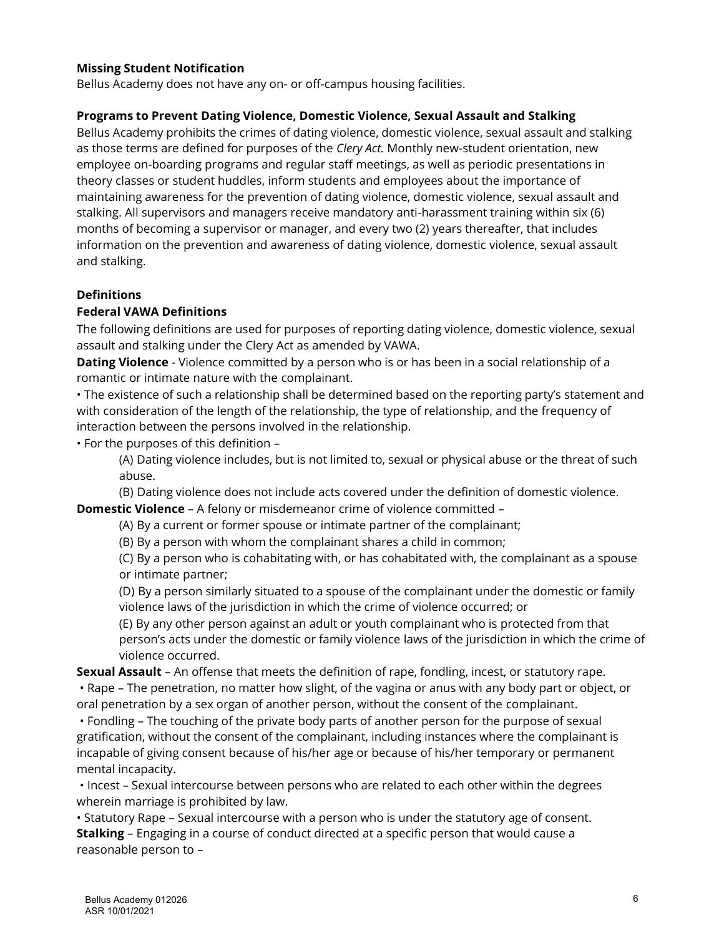### **Missing Student Notification**

Bellus Academy does not have any on- or off-campus housing facilities.

### **Programs to Prevent Dating Violence, Domestic Violence, Sexual Assault and Stalking**

Bellus Academy prohibits the crimes of dating violence, domestic violence, sexual assault and stalking as those terms are defined for purposes of the *Clery Act.* Monthly new-student orientation, new employee on-boarding programs and regular staff meetings, as well as periodic presentations in theory classes or student huddles, inform students and employees about the importance of maintaining awareness for the prevention of dating violence, domestic violence, sexual assault and stalking. All supervisors and managers receive mandatory anti-harassment training within six (6) months of becoming a supervisor or manager, and every two (2) years thereafter, that includes information on the prevention and awareness of dating violence, domestic violence, sexual assault and stalking.

#### **Definitions**

### **Federal VAWA Definitions**

The following definitions are used for purposes of reporting dating violence, domestic violence, sexual assault and stalking under the Clery Act as amended by VAWA.

**Dating Violence** - Violence committed by a person who is or has been in a social relationship of a romantic or intimate nature with the complainant.

• The existence of such a relationship shall be determined based on the reporting party's statement and with consideration of the length of the relationship, the type of relationship, and the frequency of interaction between the persons involved in the relationship.

• For the purposes of this definition –

(A) Dating violence includes, but is not limited to, sexual or physical abuse or the threat of such abuse.

(B) Dating violence does not include acts covered under the definition of domestic violence.

**Domestic Violence** – A felony or misdemeanor crime of violence committed –

(A) By a current or former spouse or intimate partner of the complainant;

(B) By a person with whom the complainant shares a child in common;

(C) By a person who is cohabitating with, or has cohabitated with, the complainant as a spouse or intimate partner;

(D) By a person similarly situated to a spouse of the complainant under the domestic or family violence laws of the jurisdiction in which the crime of violence occurred; or

(E) By any other person against an adult or youth complainant who is protected from that person's acts under the domestic or family violence laws of the jurisdiction in which the crime of violence occurred.

**Sexual Assault** – An offense that meets the definition of rape, fondling, incest, or statutory rape.

• Rape – The penetration, no matter how slight, of the vagina or anus with any body part or object, or oral penetration by a sex organ of another person, without the consent of the complainant.

• Fondling – The touching of the private body parts of another person for the purpose of sexual gratification, without the consent of the complainant, including instances where the complainant is incapable of giving consent because of his/her age or because of his/her temporary or permanent mental incapacity.

• Incest – Sexual intercourse between persons who are related to each other within the degrees wherein marriage is prohibited by law.

• Statutory Rape – Sexual intercourse with a person who is under the statutory age of consent. **Stalking** – Engaging in a course of conduct directed at a specific person that would cause a reasonable person to –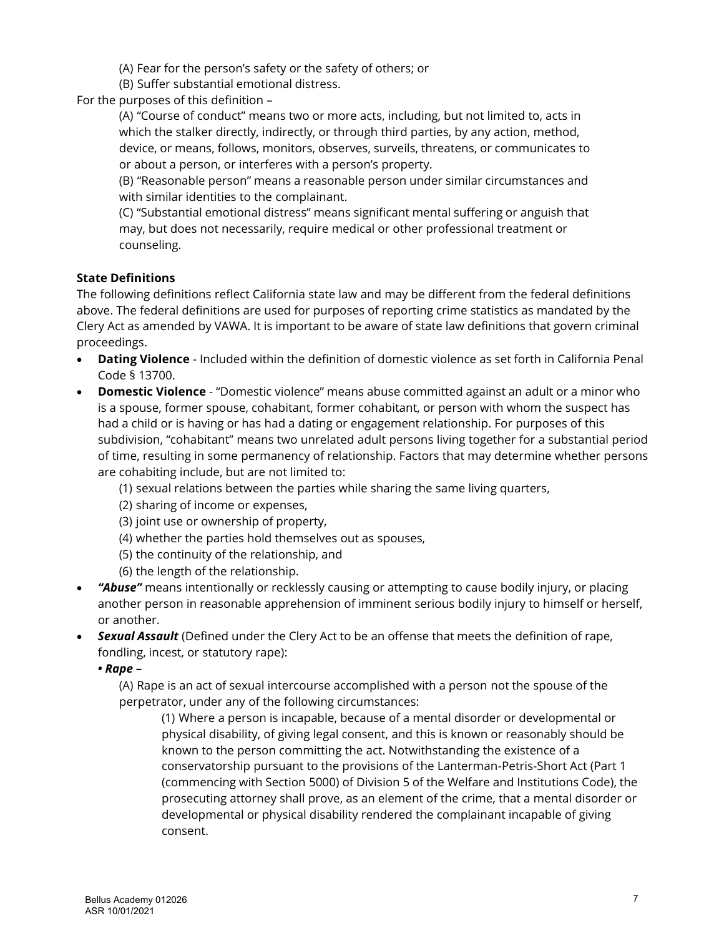(A) Fear for the person's safety or the safety of others; or

(B) Suffer substantial emotional distress.

For the purposes of this definition –

(A) "Course of conduct" means two or more acts, including, but not limited to, acts in which the stalker directly, indirectly, or through third parties, by any action, method, device, or means, follows, monitors, observes, surveils, threatens, or communicates to or about a person, or interferes with a person's property.

(B) "Reasonable person" means a reasonable person under similar circumstances and with similar identities to the complainant.

(C) "Substantial emotional distress" means significant mental suffering or anguish that may, but does not necessarily, require medical or other professional treatment or counseling.

# **State Definitions**

The following definitions reflect California state law and may be different from the federal definitions above. The federal definitions are used for purposes of reporting crime statistics as mandated by the Clery Act as amended by VAWA. It is important to be aware of state law definitions that govern criminal proceedings.

- **Dating Violence** Included within the definition of domestic violence as set forth in California Penal Code § 13700.
- **Domestic Violence** "Domestic violence" means abuse committed against an adult or a minor who is a spouse, former spouse, cohabitant, former cohabitant, or person with whom the suspect has had a child or is having or has had a dating or engagement relationship. For purposes of this subdivision, "cohabitant" means two unrelated adult persons living together for a substantial period of time, resulting in some permanency of relationship. Factors that may determine whether persons are cohabiting include, but are not limited to:
	- (1) sexual relations between the parties while sharing the same living quarters,
	- (2) sharing of income or expenses,
	- (3) joint use or ownership of property,
	- (4) whether the parties hold themselves out as spouses,
	- (5) the continuity of the relationship, and
	- (6) the length of the relationship.
- *"Abuse"* means intentionally or recklessly causing or attempting to cause bodily injury, or placing another person in reasonable apprehension of imminent serious bodily injury to himself or herself, or another.
- *Sexual Assault* (Defined under the Clery Act to be an offense that meets the definition of rape, fondling, incest, or statutory rape):

*• Rape* **–**

(A) Rape is an act of sexual intercourse accomplished with a person not the spouse of the perpetrator, under any of the following circumstances:

(1) Where a person is incapable, because of a mental disorder or developmental or physical disability, of giving legal consent, and this is known or reasonably should be known to the person committing the act. Notwithstanding the existence of a conservatorship pursuant to the provisions of the Lanterman-Petris-Short Act (Part 1 (commencing with Section 5000) of Division 5 of the Welfare and Institutions Code), the prosecuting attorney shall prove, as an element of the crime, that a mental disorder or developmental or physical disability rendered the complainant incapable of giving consent.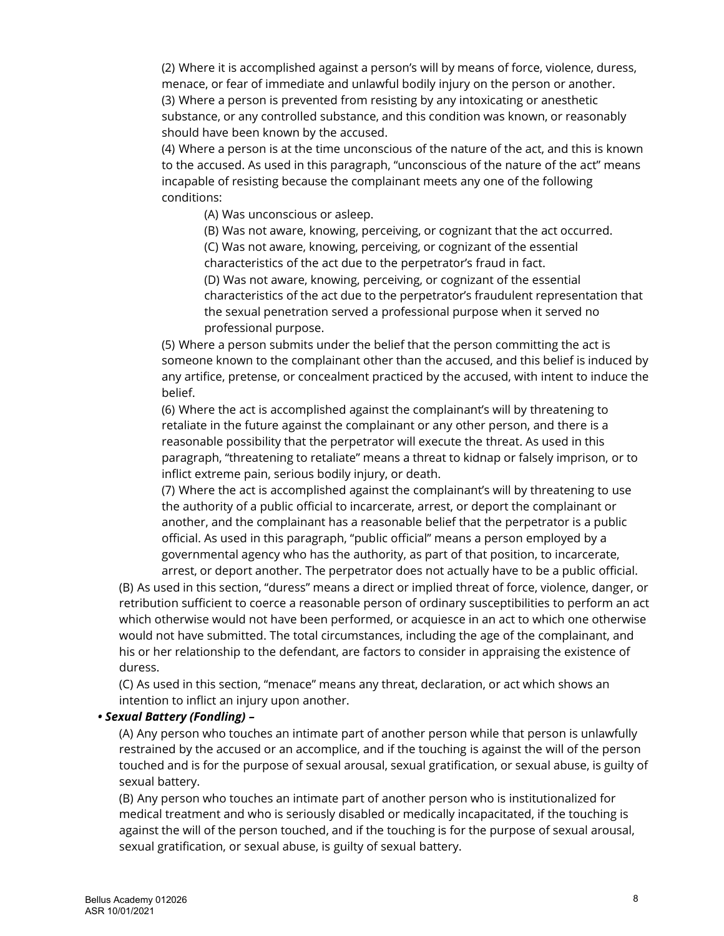(2) Where it is accomplished against a person's will by means of force, violence, duress, menace, or fear of immediate and unlawful bodily injury on the person or another. (3) Where a person is prevented from resisting by any intoxicating or anesthetic substance, or any controlled substance, and this condition was known, or reasonably should have been known by the accused.

(4) Where a person is at the time unconscious of the nature of the act, and this is known to the accused. As used in this paragraph, "unconscious of the nature of the act" means incapable of resisting because the complainant meets any one of the following conditions:

(A) Was unconscious or asleep.

(B) Was not aware, knowing, perceiving, or cognizant that the act occurred. (C) Was not aware, knowing, perceiving, or cognizant of the essential characteristics of the act due to the perpetrator's fraud in fact. (D) Was not aware, knowing, perceiving, or cognizant of the essential characteristics of the act due to the perpetrator's fraudulent representation that the sexual penetration served a professional purpose when it served no professional purpose.

(5) Where a person submits under the belief that the person committing the act is someone known to the complainant other than the accused, and this belief is induced by any artifice, pretense, or concealment practiced by the accused, with intent to induce the belief.

(6) Where the act is accomplished against the complainant's will by threatening to retaliate in the future against the complainant or any other person, and there is a reasonable possibility that the perpetrator will execute the threat. As used in this paragraph, "threatening to retaliate" means a threat to kidnap or falsely imprison, or to inflict extreme pain, serious bodily injury, or death.

(7) Where the act is accomplished against the complainant's will by threatening to use the authority of a public official to incarcerate, arrest, or deport the complainant or another, and the complainant has a reasonable belief that the perpetrator is a public official. As used in this paragraph, "public official" means a person employed by a governmental agency who has the authority, as part of that position, to incarcerate, arrest, or deport another. The perpetrator does not actually have to be a public official.

(B) As used in this section, "duress" means a direct or implied threat of force, violence, danger, or retribution sufficient to coerce a reasonable person of ordinary susceptibilities to perform an act which otherwise would not have been performed, or acquiesce in an act to which one otherwise would not have submitted. The total circumstances, including the age of the complainant, and his or her relationship to the defendant, are factors to consider in appraising the existence of duress.

(C) As used in this section, "menace" means any threat, declaration, or act which shows an intention to inflict an injury upon another.

#### *• Sexual Battery (Fondling) –*

(A) Any person who touches an intimate part of another person while that person is unlawfully restrained by the accused or an accomplice, and if the touching is against the will of the person touched and is for the purpose of sexual arousal, sexual gratification, or sexual abuse, is guilty of sexual battery.

(B) Any person who touches an intimate part of another person who is institutionalized for medical treatment and who is seriously disabled or medically incapacitated, if the touching is against the will of the person touched, and if the touching is for the purpose of sexual arousal, sexual gratification, or sexual abuse, is guilty of sexual battery.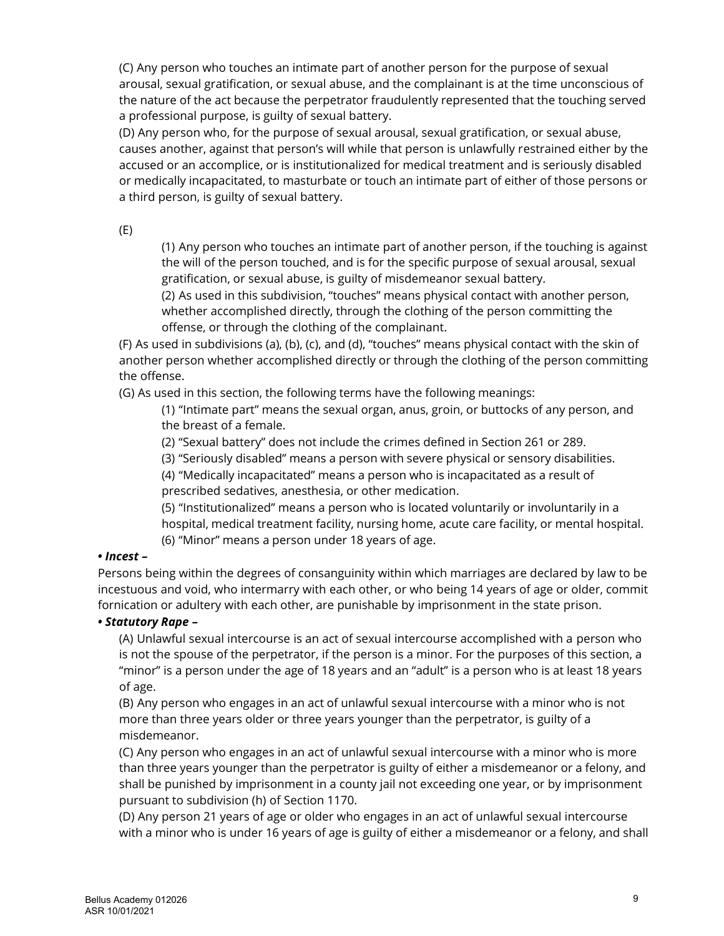(C) Any person who touches an intimate part of another person for the purpose of sexual arousal, sexual gratification, or sexual abuse, and the complainant is at the time unconscious of the nature of the act because the perpetrator fraudulently represented that the touching served a professional purpose, is guilty of sexual battery.

(D) Any person who, for the purpose of sexual arousal, sexual gratification, or sexual abuse, causes another, against that person's will while that person is unlawfully restrained either by the accused or an accomplice, or is institutionalized for medical treatment and is seriously disabled or medically incapacitated, to masturbate or touch an intimate part of either of those persons or a third person, is guilty of sexual battery.

(E)

(1) Any person who touches an intimate part of another person, if the touching is against the will of the person touched, and is for the specific purpose of sexual arousal, sexual gratification, or sexual abuse, is guilty of misdemeanor sexual battery.

(2) As used in this subdivision, "touches" means physical contact with another person, whether accomplished directly, through the clothing of the person committing the offense, or through the clothing of the complainant.

(F) As used in subdivisions (a), (b), (c), and (d), "touches" means physical contact with the skin of another person whether accomplished directly or through the clothing of the person committing the offense.

(G) As used in this section, the following terms have the following meanings:

(1) "Intimate part" means the sexual organ, anus, groin, or buttocks of any person, and the breast of a female.

(2) "Sexual battery" does not include the crimes defined in Section 261 or 289.

(3) "Seriously disabled" means a person with severe physical or sensory disabilities.

(4) "Medically incapacitated" means a person who is incapacitated as a result of prescribed sedatives, anesthesia, or other medication.

(5) "Institutionalized" means a person who is located voluntarily or involuntarily in a hospital, medical treatment facility, nursing home, acute care facility, or mental hospital. (6) "Minor" means a person under 18 years of age.

# *• Incest –*

Persons being within the degrees of consanguinity within which marriages are declared by law to be incestuous and void, who intermarry with each other, or who being 14 years of age or older, commit fornication or adultery with each other, are punishable by imprisonment in the state prison.

# *• Statutory Rape –*

(A) Unlawful sexual intercourse is an act of sexual intercourse accomplished with a person who is not the spouse of the perpetrator, if the person is a minor. For the purposes of this section, a "minor" is a person under the age of 18 years and an "adult" is a person who is at least 18 years of age.

(B) Any person who engages in an act of unlawful sexual intercourse with a minor who is not more than three years older or three years younger than the perpetrator, is guilty of a misdemeanor.

(C) Any person who engages in an act of unlawful sexual intercourse with a minor who is more than three years younger than the perpetrator is guilty of either a misdemeanor or a felony, and shall be punished by imprisonment in a county jail not exceeding one year, or by imprisonment pursuant to subdivision (h) of Section 1170.

(D) Any person 21 years of age or older who engages in an act of unlawful sexual intercourse with a minor who is under 16 years of age is guilty of either a misdemeanor or a felony, and shall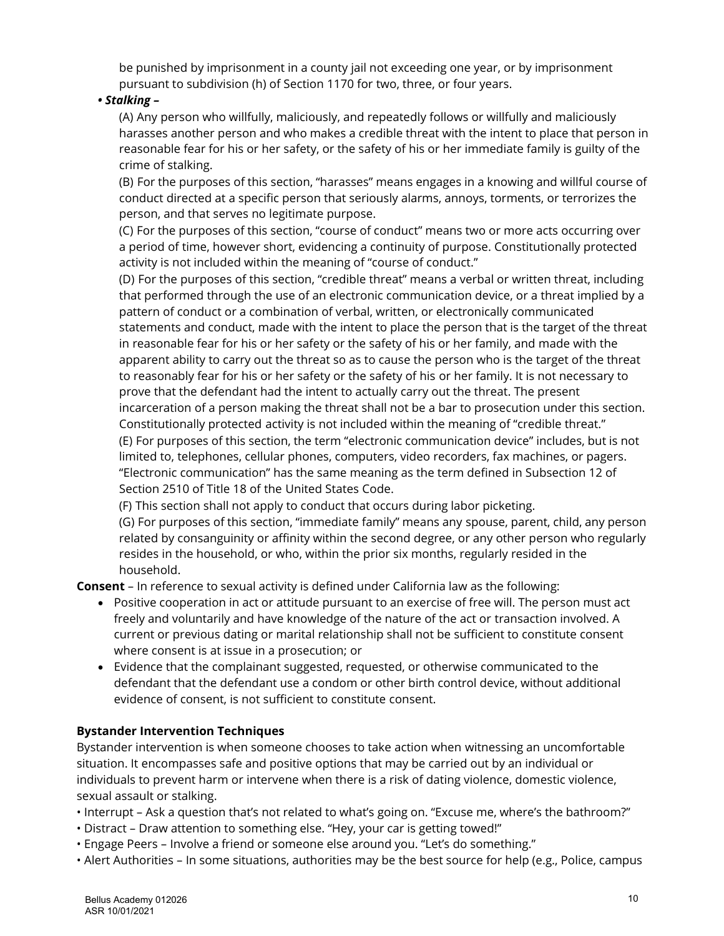be punished by imprisonment in a county jail not exceeding one year, or by imprisonment pursuant to subdivision (h) of Section 1170 for two, three, or four years.

# *• Stalking –*

(A) Any person who willfully, maliciously, and repeatedly follows or willfully and maliciously harasses another person and who makes a credible threat with the intent to place that person in reasonable fear for his or her safety, or the safety of his or her immediate family is guilty of the crime of stalking.

(B) For the purposes of this section, "harasses" means engages in a knowing and willful course of conduct directed at a specific person that seriously alarms, annoys, torments, or terrorizes the person, and that serves no legitimate purpose.

(C) For the purposes of this section, "course of conduct" means two or more acts occurring over a period of time, however short, evidencing a continuity of purpose. Constitutionally protected activity is not included within the meaning of "course of conduct."

(D) For the purposes of this section, "credible threat" means a verbal or written threat, including that performed through the use of an electronic communication device, or a threat implied by a pattern of conduct or a combination of verbal, written, or electronically communicated statements and conduct, made with the intent to place the person that is the target of the threat in reasonable fear for his or her safety or the safety of his or her family, and made with the apparent ability to carry out the threat so as to cause the person who is the target of the threat to reasonably fear for his or her safety or the safety of his or her family. It is not necessary to prove that the defendant had the intent to actually carry out the threat. The present incarceration of a person making the threat shall not be a bar to prosecution under this section. Constitutionally protected activity is not included within the meaning of "credible threat." (E) For purposes of this section, the term "electronic communication device" includes, but is not limited to, telephones, cellular phones, computers, video recorders, fax machines, or pagers. "Electronic communication" has the same meaning as the term defined in Subsection 12 of Section 2510 of Title 18 of the United States Code.

(F) This section shall not apply to conduct that occurs during labor picketing.

(G) For purposes of this section, "immediate family" means any spouse, parent, child, any person related by consanguinity or affinity within the second degree, or any other person who regularly resides in the household, or who, within the prior six months, regularly resided in the household.

**Consent** – In reference to sexual activity is defined under California law as the following:

- Positive cooperation in act or attitude pursuant to an exercise of free will. The person must act freely and voluntarily and have knowledge of the nature of the act or transaction involved. A current or previous dating or marital relationship shall not be sufficient to constitute consent where consent is at issue in a prosecution; or
- Evidence that the complainant suggested, requested, or otherwise communicated to the defendant that the defendant use a condom or other birth control device, without additional evidence of consent, is not sufficient to constitute consent.

# **Bystander Intervention Techniques**

Bystander intervention is when someone chooses to take action when witnessing an uncomfortable situation. It encompasses safe and positive options that may be carried out by an individual or individuals to prevent harm or intervene when there is a risk of dating violence, domestic violence, sexual assault or stalking.

- Interrupt Ask a question that's not related to what's going on. "Excuse me, where's the bathroom?"
- Distract Draw attention to something else. "Hey, your car is getting towed!"
- Engage Peers Involve a friend or someone else around you. "Let's do something."
- Alert Authorities In some situations, authorities may be the best source for help (e.g., Police, campus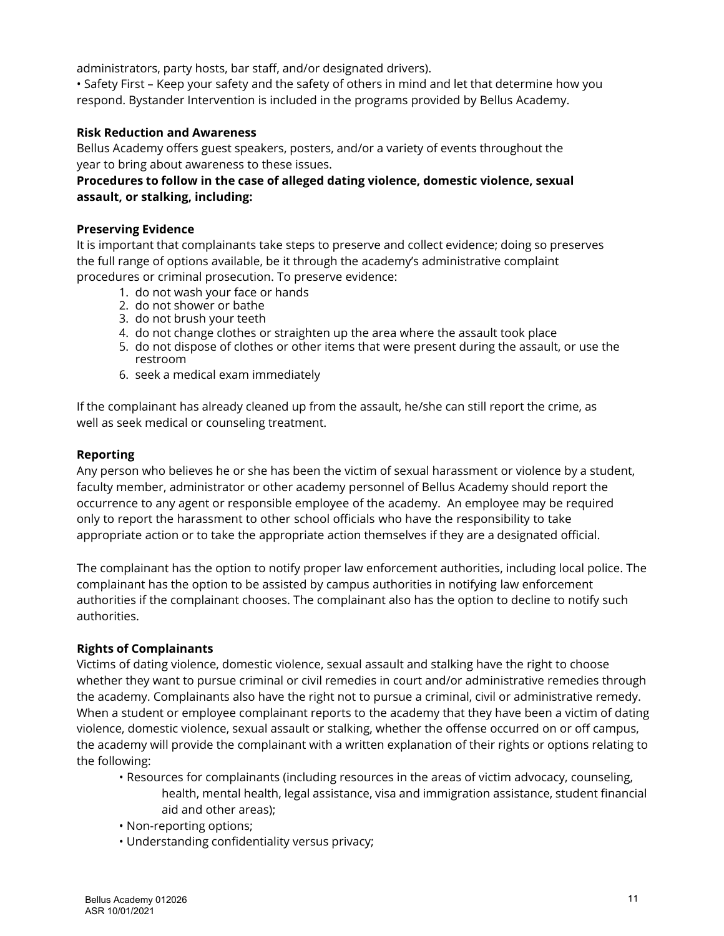administrators, party hosts, bar staff, and/or designated drivers).

• Safety First – Keep your safety and the safety of others in mind and let that determine how you respond. Bystander Intervention is included in the programs provided by Bellus Academy.

### **Risk Reduction and Awareness**

Bellus Academy offers guest speakers, posters, and/or a variety of events throughout the year to bring about awareness to these issues.

### **Procedures to follow in the case of alleged dating violence, domestic violence, sexual assault, or stalking, including:**

#### **Preserving Evidence**

It is important that complainants take steps to preserve and collect evidence; doing so preserves the full range of options available, be it through the academy's administrative complaint procedures or criminal prosecution. To preserve evidence:

- 1. do not wash your face or hands
- 2. do not shower or bathe
- 3. do not brush your teeth
- 4. do not change clothes or straighten up the area where the assault took place
- 5. do not dispose of clothes or other items that were present during the assault, or use the restroom
- 6. seek a medical exam immediately

If the complainant has already cleaned up from the assault, he/she can still report the crime, as well as seek medical or counseling treatment.

### **Reporting**

Any person who believes he or she has been the victim of sexual harassment or violence by a student, faculty member, administrator or other academy personnel of Bellus Academy should report the occurrence to any agent or responsible employee of the academy. An employee may be required only to report the harassment to other school officials who have the responsibility to take appropriate action or to take the appropriate action themselves if they are a designated official.

The complainant has the option to notify proper law enforcement authorities, including local police. The complainant has the option to be assisted by campus authorities in notifying law enforcement authorities if the complainant chooses. The complainant also has the option to decline to notify such authorities.

#### **Rights of Complainants**

Victims of dating violence, domestic violence, sexual assault and stalking have the right to choose whether they want to pursue criminal or civil remedies in court and/or administrative remedies through the academy. Complainants also have the right not to pursue a criminal, civil or administrative remedy. When a student or employee complainant reports to the academy that they have been a victim of dating violence, domestic violence, sexual assault or stalking, whether the offense occurred on or off campus, the academy will provide the complainant with a written explanation of their rights or options relating to the following:

- Resources for complainants (including resources in the areas of victim advocacy, counseling, health, mental health, legal assistance, visa and immigration assistance, student financial aid and other areas);
- Non-reporting options;
- Understanding confidentiality versus privacy;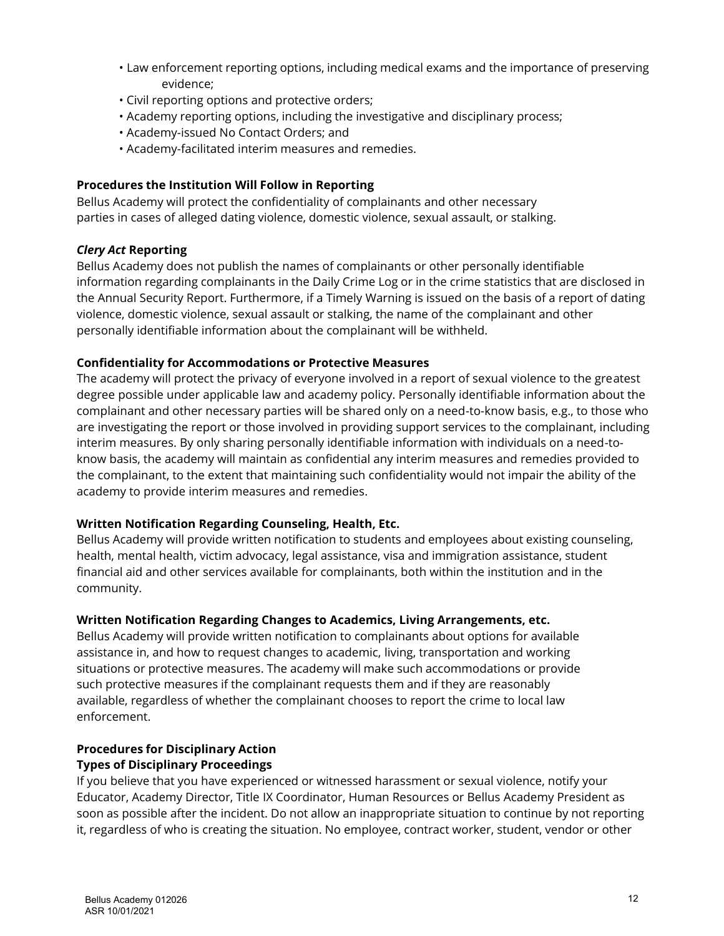- Law enforcement reporting options, including medical exams and the importance of preserving evidence;
- Civil reporting options and protective orders;
- Academy reporting options, including the investigative and disciplinary process;
- Academy-issued No Contact Orders; and
- Academy-facilitated interim measures and remedies.

### **Procedures the Institution Will Follow in Reporting**

Bellus Academy will protect the confidentiality of complainants and other necessary parties in cases of alleged dating violence, domestic violence, sexual assault, or stalking.

### *Clery Act* **Reporting**

Bellus Academy does not publish the names of complainants or other personally identifiable information regarding complainants in the Daily Crime Log or in the crime statistics that are disclosed in the Annual Security Report. Furthermore, if a Timely Warning is issued on the basis of a report of dating violence, domestic violence, sexual assault or stalking, the name of the complainant and other personally identifiable information about the complainant will be withheld.

### **Confidentiality for Accommodations or Protective Measures**

The academy will protect the privacy of everyone involved in a report of sexual violence to the greatest degree possible under applicable law and academy policy. Personally identifiable information about the complainant and other necessary parties will be shared only on a need-to-know basis, e.g., to those who are investigating the report or those involved in providing support services to the complainant, including interim measures. By only sharing personally identifiable information with individuals on a need-toknow basis, the academy will maintain as confidential any interim measures and remedies provided to the complainant, to the extent that maintaining such confidentiality would not impair the ability of the academy to provide interim measures and remedies.

# **Written Notification Regarding Counseling, Health, Etc.**

Bellus Academy will provide written notification to students and employees about existing counseling, health, mental health, victim advocacy, legal assistance, visa and immigration assistance, student financial aid and other services available for complainants, both within the institution and in the community.

#### **Written Notification Regarding Changes to Academics, Living Arrangements, etc.**

Bellus Academy will provide written notification to complainants about options for available assistance in, and how to request changes to academic, living, transportation and working situations or protective measures. The academy will make such accommodations or provide such protective measures if the complainant requests them and if they are reasonably available, regardless of whether the complainant chooses to report the crime to local law enforcement.

# **Procedures for Disciplinary Action Types of Disciplinary Proceedings**

If you believe that you have experienced or witnessed harassment or sexual violence, notify your Educator, Academy Director, Title IX Coordinator, Human Resources or Bellus Academy President as soon as possible after the incident. Do not allow an inappropriate situation to continue by not reporting it, regardless of who is creating the situation. No employee, contract worker, student, vendor or other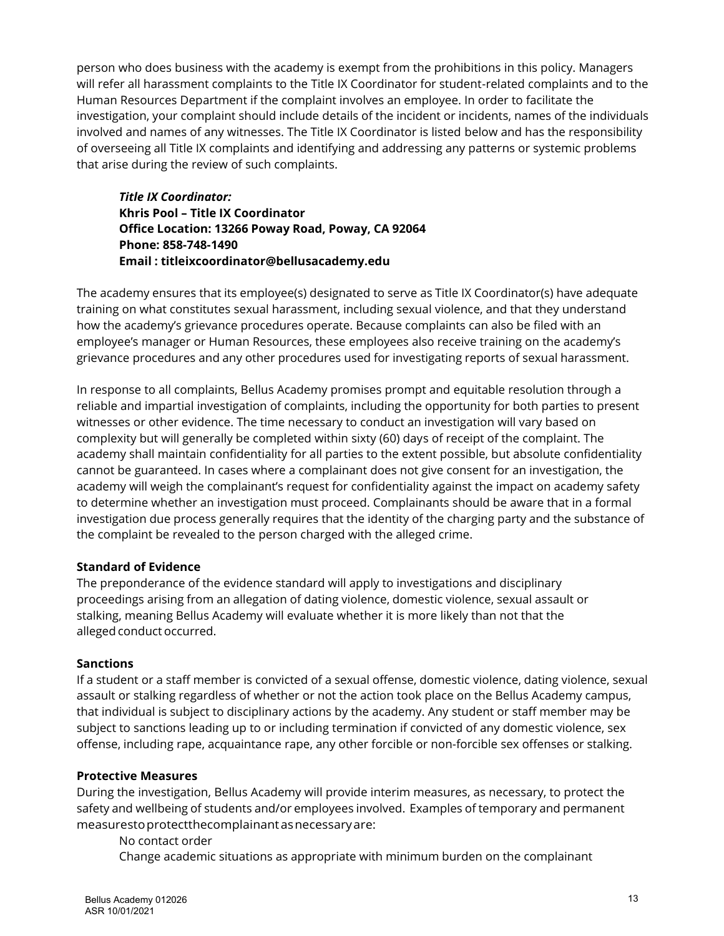person who does business with the academy is exempt from the prohibitions in this policy. Managers will refer all harassment complaints to the Title IX Coordinator for student-related complaints and to the Human Resources Department if the complaint involves an employee. In order to facilitate the investigation, your complaint should include details of the incident or incidents, names of the individuals involved and names of any witnesses. The Title IX Coordinator is listed below and has the responsibility of overseeing all Title IX complaints and identifying and addressing any patterns or systemic problems that arise during the review of such complaints.

*Title IX Coordinator:* **Khris Pool – Title IX Coordinator Office Location: 13266 Poway Road, Poway, CA 92064 Phone: 858-748-1490 Email : [titleixcoordinator@bellusacademy.edu](mailto:titleixcoordinator@bellusacademy.edu)**

The academy ensures that its employee(s) designated to serve as Title IX Coordinator(s) have adequate training on what constitutes sexual harassment, including sexual violence, and that they understand how the academy's grievance procedures operate. Because complaints can also be filed with an employee's manager or Human Resources, these employees also receive training on the academy's grievance procedures and any other procedures used for investigating reports of sexual harassment.

In response to all complaints, Bellus Academy promises prompt and equitable resolution through a reliable and impartial investigation of complaints, including the opportunity for both parties to present witnesses or other evidence. The time necessary to conduct an investigation will vary based on complexity but will generally be completed within sixty (60) days of receipt of the complaint. The academy shall maintain confidentiality for all parties to the extent possible, but absolute confidentiality cannot be guaranteed. In cases where a complainant does not give consent for an investigation, the academy will weigh the complainant's request for confidentiality against the impact on academy safety to determine whether an investigation must proceed. Complainants should be aware that in a formal investigation due process generally requires that the identity of the charging party and the substance of the complaint be revealed to the person charged with the alleged crime.

# **Standard of Evidence**

The preponderance of the evidence standard will apply to investigations and disciplinary proceedings arising from an allegation of dating violence, domestic violence, sexual assault or stalking, meaning Bellus Academy will evaluate whether it is more likely than not that the alleged conduct occurred.

#### **Sanctions**

If a student or a staff member is convicted of a sexual offense, domestic violence, dating violence, sexual assault or stalking regardless of whether or not the action took place on the Bellus Academy campus, that individual is subject to disciplinary actions by the academy. Any student or staff member may be subject to sanctions leading up to or including termination if convicted of any domestic violence, sex offense, including rape, acquaintance rape, any other forcible or non-forcible sex offenses or stalking.

#### **Protective Measures**

During the investigation, Bellus Academy will provide interim measures, as necessary, to protect the safety and wellbeing of students and/or employees involved. Examples of temporary and permanent measurestoprotectthecomplainantasnecessaryare:

#### No contact order

Change academic situations as appropriate with minimum burden on the complainant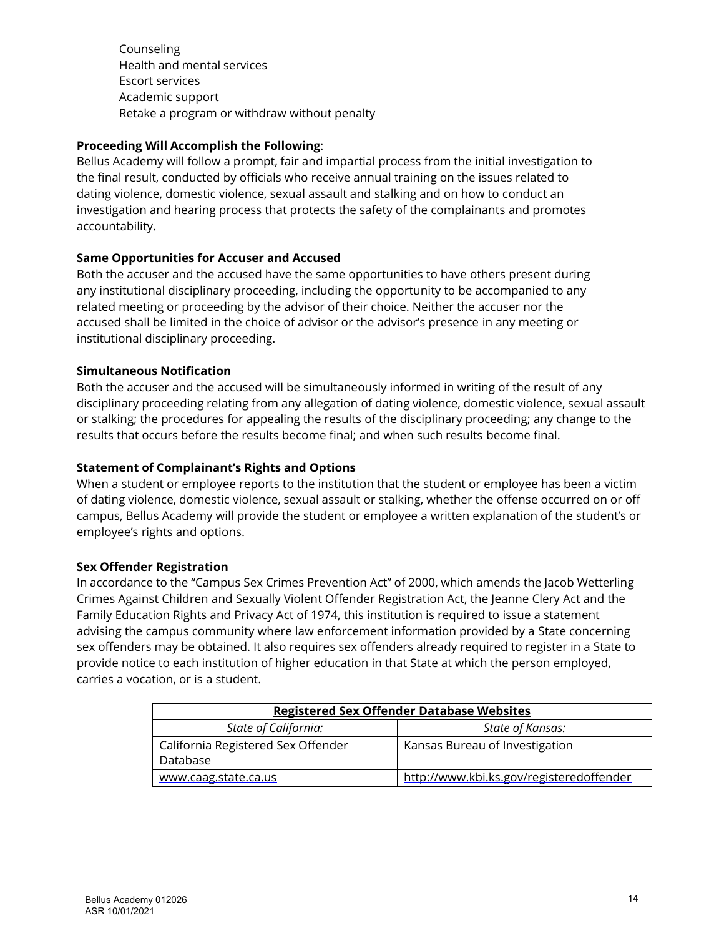Counseling Health and mental services Escort services Academic support Retake a program or withdraw without penalty

# **Proceeding Will Accomplish the Following**:

Bellus Academy will follow a prompt, fair and impartial process from the initial investigation to the final result, conducted by officials who receive annual training on the issues related to dating violence, domestic violence, sexual assault and stalking and on how to conduct an investigation and hearing process that protects the safety of the complainants and promotes accountability.

# **Same Opportunities for Accuser and Accused**

Both the accuser and the accused have the same opportunities to have others present during any institutional disciplinary proceeding, including the opportunity to be accompanied to any related meeting or proceeding by the advisor of their choice. Neither the accuser nor the accused shall be limited in the choice of advisor or the advisor's presence in any meeting or institutional disciplinary proceeding.

# **Simultaneous Notification**

Both the accuser and the accused will be simultaneously informed in writing of the result of any disciplinary proceeding relating from any allegation of dating violence, domestic violence, sexual assault or stalking; the procedures for appealing the results of the disciplinary proceeding; any change to the results that occurs before the results become final; and when such results become final.

# **Statement of Complainant's Rights and Options**

When a student or employee reports to the institution that the student or employee has been a victim of dating violence, domestic violence, sexual assault or stalking, whether the offense occurred on or off campus, Bellus Academy will provide the student or employee a written explanation of the student's or employee's rights and options.

# **Sex Offender Registration**

In accordance to the "Campus Sex Crimes Prevention Act" of 2000, which amends the Jacob Wetterling Crimes Against Children and Sexually Violent Offender Registration Act, the Jeanne Clery Act and the Family Education Rights and Privacy Act of 1974, this institution is required to issue a statement advising the campus community where law enforcement information provided by a State concerning sex offenders may be obtained. It also requires sex offenders already required to register in a State to provide notice to each institution of higher education in that State at which the person employed, carries a vocation, or is a student.

| <b>Registered Sex Offender Database Websites</b> |                                          |  |  |  |  |  |  |  |  |
|--------------------------------------------------|------------------------------------------|--|--|--|--|--|--|--|--|
| State of California:                             | State of Kansas:                         |  |  |  |  |  |  |  |  |
| California Registered Sex Offender<br>Database   | Kansas Bureau of Investigation           |  |  |  |  |  |  |  |  |
| www.caag.state.ca.us                             | http://www.kbi.ks.gov/registeredoffender |  |  |  |  |  |  |  |  |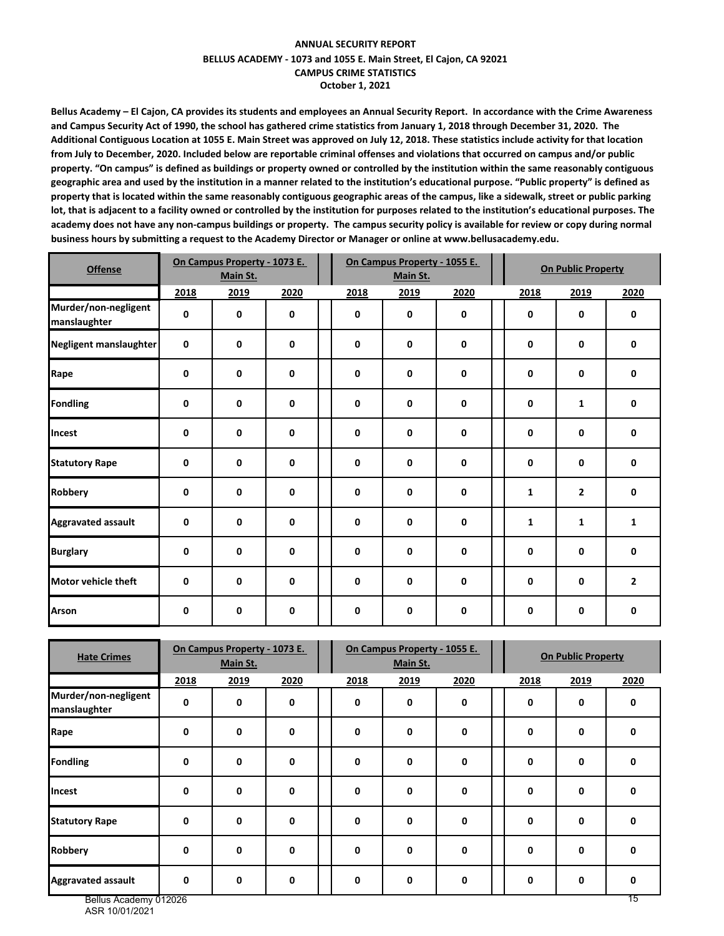#### **ANNUAL SECURITY REPORT BELLUS ACADEMY ‐ 1073 and 1055 E. Main Street, El Cajon, CA 92021 CAMPUS CRIME STATISTICS October 1, 2021**

Bellus Academy - El Cajon, CA provides its students and employees an Annual Security Report. In accordance with the Crime Awareness and Campus Security Act of 1990, the school has gathered crime statistics from January 1, 2018 through December 31, 2020. The Additional Contiguous Location at 1055 E. Main Street was approved on July 12, 2018. These statistics include activity for that location from July to December, 2020. Included below are reportable criminal offenses and violations that occurred on campus and/or public property. "On campus" is defined as buildings or property owned or controlled by the institution within the same reasonably contiguous geographic area and used by the institution in a manner related to the institution's educational purpose. "Public property" is defined as property that is located within the same reasonably contiguous geographic areas of the campus, like a sidewalk, street or public parking lot, that is adjacent to a facility owned or controlled by the institution for purposes related to the institution's educational purposes. The academy does not have any non-campus buildings or property. The campus security policy is available for review or copy during normal **business hours by submitting a request to the Academy Director or Manager or online at www.bellusacademy.edu.**

| <b>Offense</b>                       | On Campus Property - 1073 E.<br>Main St. |             |             |      | On Campus Property - 1055 E.<br>Main St. |      | <b>On Public Property</b> |                         |             |  |  |
|--------------------------------------|------------------------------------------|-------------|-------------|------|------------------------------------------|------|---------------------------|-------------------------|-------------|--|--|
|                                      | 2018                                     | 2019        | 2020        | 2018 | 2019                                     | 2020 | 2018                      | 2019                    | 2020        |  |  |
| Murder/non-negligent<br>manslaughter | $\mathbf 0$                              | 0           | 0           | 0    | 0                                        | 0    | 0                         | 0                       | 0           |  |  |
| Negligent manslaughter               | $\mathbf 0$                              | $\mathbf 0$ | 0           | 0    | 0                                        | 0    | 0                         | 0                       | 0           |  |  |
| Rape                                 | 0                                        | $\mathbf 0$ | 0           | 0    | 0                                        | 0    | 0                         | 0                       | 0           |  |  |
| <b>Fondling</b>                      | 0                                        | $\mathbf 0$ | 0           | 0    | 0                                        | 0    | 0                         | 1                       | 0           |  |  |
| Incest                               | $\mathbf 0$                              | 0           | 0           | 0    | 0                                        | 0    | 0                         | 0                       | 0           |  |  |
| <b>Statutory Rape</b>                | $\mathbf 0$                              | 0           | 0           | 0    | 0                                        | 0    | 0                         | 0                       | 0           |  |  |
| <b>Robbery</b>                       | $\mathbf 0$                              | 0           | 0           | 0    | 0                                        | 0    | 1                         | $\overline{\mathbf{2}}$ | 0           |  |  |
| <b>Aggravated assault</b>            | $\mathbf 0$                              | $\mathbf 0$ | $\mathbf 0$ | 0    | 0                                        | 0    | $\mathbf{1}$              | 1                       | 1           |  |  |
| <b>Burglary</b>                      | $\mathbf 0$                              | $\mathbf 0$ | $\mathbf 0$ | 0    | 0                                        | 0    | 0                         | 0                       | $\mathbf 0$ |  |  |
| Motor vehicle theft                  | $\mathbf 0$                              | $\mathbf 0$ | 0           | 0    | 0                                        | 0    | 0                         | 0                       | 2           |  |  |
| <b>Arson</b>                         | 0                                        | 0           | 0           | 0    | 0                                        | 0    | 0                         | 0                       | 0           |  |  |

| <b>Hate Crimes</b>                     | On Campus Property - 1073 E.<br>Main St. |      |             |  | On Campus Property - 1055 E.<br>Main St. |      |      |  | <b>On Public Property</b> |      |              |  |  |
|----------------------------------------|------------------------------------------|------|-------------|--|------------------------------------------|------|------|--|---------------------------|------|--------------|--|--|
|                                        | 2018                                     | 2019 | 2020        |  | 2018                                     | 2019 | 2020 |  | 2018                      | 2019 | 2020         |  |  |
| Murder/non-negligent<br>manslaughter   | 0                                        | 0    | $\mathbf 0$ |  | $\mathbf 0$                              | 0    | 0    |  | 0                         | 0    | 0            |  |  |
| Rape                                   | $\mathbf 0$                              | 0    | 0           |  | $\mathbf 0$                              | 0    | 0    |  | 0                         | 0    | $\mathbf{0}$ |  |  |
| Fondling                               | 0                                        | 0    | 0           |  | 0                                        | 0    | 0    |  | 0                         | 0    | $\mathbf 0$  |  |  |
| Incest                                 | 0                                        | 0    | $\mathbf 0$ |  | $\mathbf 0$                              | 0    | 0    |  | 0                         | 0    | 0            |  |  |
| <b>Statutory Rape</b>                  | $\mathbf 0$                              | 0    | 0           |  | 0                                        | 0    | 0    |  | 0                         | 0    | $\mathbf{0}$ |  |  |
| <b>Robbery</b>                         | 0                                        | 0    | 0           |  | 0                                        | 0    | 0    |  | $\mathbf 0$               | 0    | $\mathbf{0}$ |  |  |
| <b>Aggravated assault</b><br>_________ | 0<br>$\overline{\phantom{a}}$            | 0    | $\mathbf 0$ |  | $\mathbf 0$                              | 0    | 0    |  | 0                         | 0    | 0<br>ᄹ       |  |  |

Bellus Academy 012026 ASR 10/01/2021